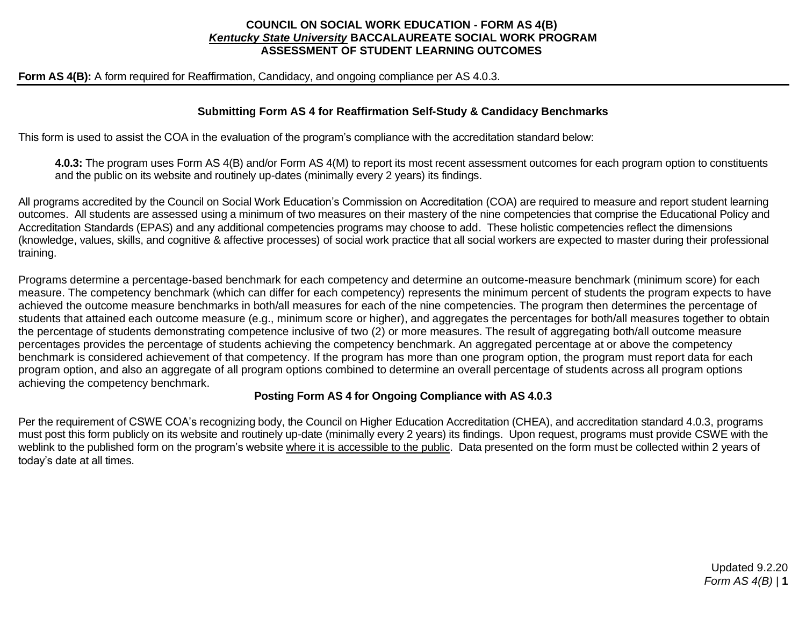## **COUNCIL ON SOCIAL WORK EDUCATION - FORM AS 4(B)** *Kentucky State University* **BACCALAUREATE SOCIAL WORK PROGRAM ASSESSMENT OF STUDENT LEARNING OUTCOMES**

**Form AS 4(B):** A form required for Reaffirmation, Candidacy, and ongoing compliance per AS 4.0.3.

## **Submitting Form AS 4 for Reaffirmation Self-Study & Candidacy Benchmarks**

This form is used to assist the COA in the evaluation of the program's compliance with the accreditation standard below:

**4.0.3:** The program uses Form AS 4(B) and/or Form AS 4(M) to report its most recent assessment outcomes for each program option to constituents and the public on its website and routinely up-dates (minimally every 2 years) its findings.

All programs accredited by the Council on Social Work Education's Commission on Accreditation (COA) are required to measure and report student learning outcomes. All students are assessed using a minimum of two measures on their mastery of the nine competencies that comprise the Educational Policy and Accreditation Standards (EPAS) and any additional competencies programs may choose to add. These holistic competencies reflect the dimensions (knowledge, values, skills, and cognitive & affective processes) of social work practice that all social workers are expected to master during their professional training.

Programs determine a percentage-based benchmark for each competency and determine an outcome-measure benchmark (minimum score) for each measure. The competency benchmark (which can differ for each competency) represents the minimum percent of students the program expects to have achieved the outcome measure benchmarks in both/all measures for each of the nine competencies. The program then determines the percentage of students that attained each outcome measure (e.g., minimum score or higher), and aggregates the percentages for both/all measures together to obtain the percentage of students demonstrating competence inclusive of two (2) or more measures. The result of aggregating both/all outcome measure percentages provides the percentage of students achieving the competency benchmark. An aggregated percentage at or above the competency benchmark is considered achievement of that competency. If the program has more than one program option, the program must report data for each program option, and also an aggregate of all program options combined to determine an overall percentage of students across all program options achieving the competency benchmark.

## **Posting Form AS 4 for Ongoing Compliance with AS 4.0.3**

Per the requirement of CSWE COA's recognizing body, the Council on Higher Education Accreditation (CHEA), and accreditation standard 4.0.3, programs must post this form publicly on its website and routinely up-date (minimally every 2 years) its findings. Upon request, programs must provide CSWE with the weblink to the published form on the program's website where it is accessible to the public. Data presented on the form must be collected within 2 years of today's date at all times.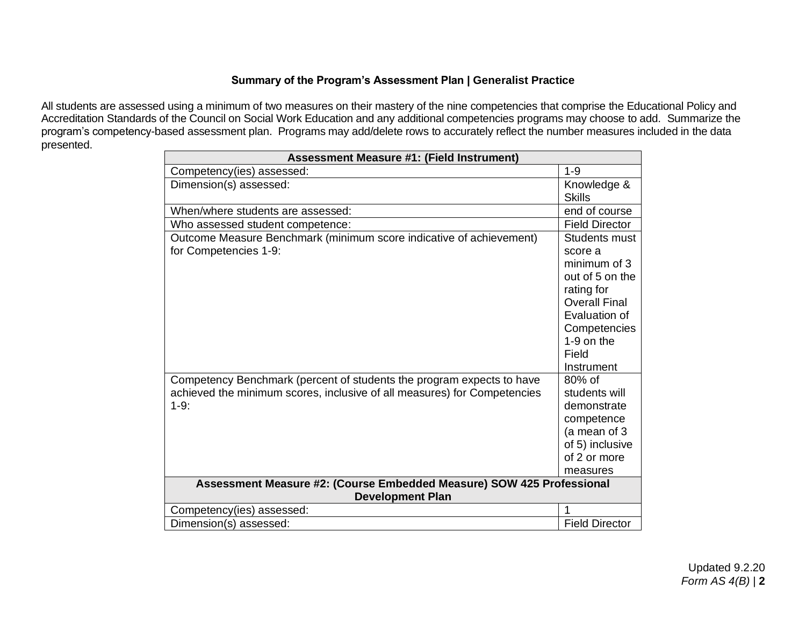# **Summary of the Program's Assessment Plan | Generalist Practice**

All students are assessed using a minimum of two measures on their mastery of the nine competencies that comprise the Educational Policy and Accreditation Standards of the Council on Social Work Education and any additional competencies programs may choose to add. Summarize the program's competency-based assessment plan. Programs may add/delete rows to accurately reflect the number measures included in the data presented.

| <b>Assessment Measure #1: (Field Instrument)</b>                                                                                                            |                                                                                                                                                                           |  |
|-------------------------------------------------------------------------------------------------------------------------------------------------------------|---------------------------------------------------------------------------------------------------------------------------------------------------------------------------|--|
| Competency(ies) assessed:                                                                                                                                   | $1 - 9$                                                                                                                                                                   |  |
| Dimension(s) assessed:                                                                                                                                      | Knowledge &<br><b>Skills</b>                                                                                                                                              |  |
| When/where students are assessed:                                                                                                                           | end of course                                                                                                                                                             |  |
| Who assessed student competence:                                                                                                                            | <b>Field Director</b>                                                                                                                                                     |  |
| Outcome Measure Benchmark (minimum score indicative of achievement)<br>for Competencies 1-9:                                                                | Students must<br>score a<br>minimum of 3<br>out of 5 on the<br>rating for<br><b>Overall Final</b><br>Evaluation of<br>Competencies<br>$1-9$ on the<br>Field<br>Instrument |  |
| Competency Benchmark (percent of students the program expects to have<br>achieved the minimum scores, inclusive of all measures) for Competencies<br>$1-9:$ | $80\%$ of<br>students will<br>demonstrate<br>competence<br>(a mean of 3<br>of 5) inclusive<br>of 2 or more<br>measures                                                    |  |
| Assessment Measure #2: (Course Embedded Measure) SOW 425 Professional                                                                                       |                                                                                                                                                                           |  |
| <b>Development Plan</b>                                                                                                                                     |                                                                                                                                                                           |  |
| Competency(ies) assessed:                                                                                                                                   | 1                                                                                                                                                                         |  |
| Dimension(s) assessed:                                                                                                                                      | <b>Field Director</b>                                                                                                                                                     |  |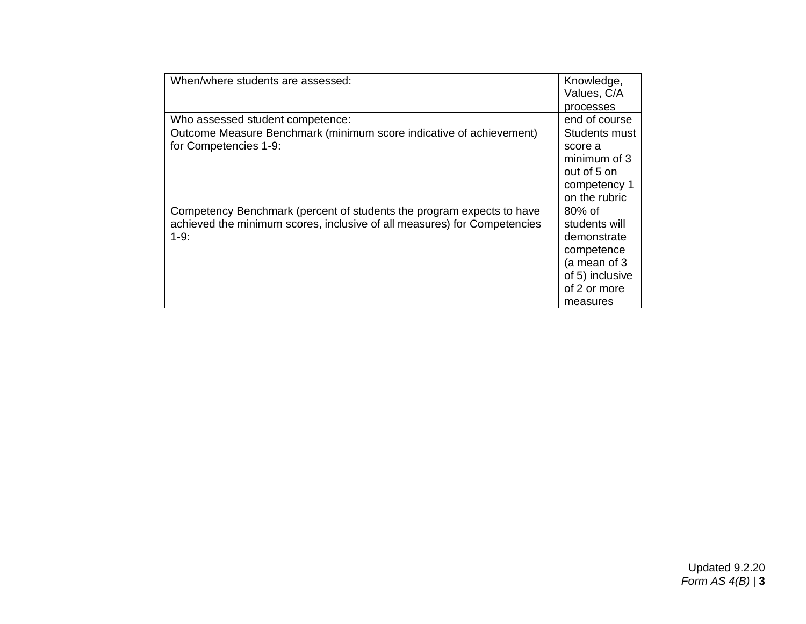| When/where students are assessed:                                        | Knowledge,      |
|--------------------------------------------------------------------------|-----------------|
|                                                                          | Values, C/A     |
|                                                                          | processes       |
| Who assessed student competence:                                         | end of course   |
| Outcome Measure Benchmark (minimum score indicative of achievement)      | Students must   |
| for Competencies 1-9:                                                    | score a         |
|                                                                          | minimum of 3    |
|                                                                          | out of 5 on     |
|                                                                          | competency 1    |
|                                                                          | on the rubric   |
| Competency Benchmark (percent of students the program expects to have    | $80\%$ of       |
| achieved the minimum scores, inclusive of all measures) for Competencies | students will   |
| $1-9$ :                                                                  | demonstrate     |
|                                                                          | competence      |
|                                                                          | (a mean of 3    |
|                                                                          | of 5) inclusive |
|                                                                          | of 2 or more    |
|                                                                          | measures        |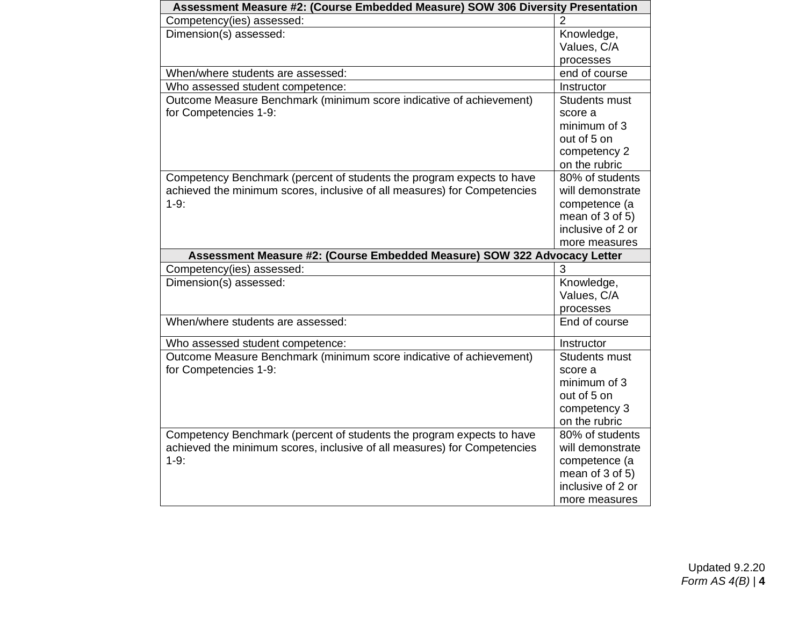| Assessment Measure #2: (Course Embedded Measure) SOW 306 Diversity Presentation |                      |
|---------------------------------------------------------------------------------|----------------------|
| Competency(ies) assessed:                                                       | 2                    |
| Dimension(s) assessed:                                                          | Knowledge,           |
|                                                                                 | Values, C/A          |
|                                                                                 | processes            |
| When/where students are assessed:                                               | end of course        |
| Who assessed student competence:                                                | Instructor           |
| Outcome Measure Benchmark (minimum score indicative of achievement)             | Students must        |
| for Competencies 1-9:                                                           | score a              |
|                                                                                 | minimum of 3         |
|                                                                                 | out of 5 on          |
|                                                                                 | competency 2         |
|                                                                                 | on the rubric        |
| Competency Benchmark (percent of students the program expects to have           | 80% of students      |
| achieved the minimum scores, inclusive of all measures) for Competencies        | will demonstrate     |
| $1-9:$                                                                          | competence (a        |
|                                                                                 | mean of $3$ of $5$ ) |
|                                                                                 | inclusive of 2 or    |
|                                                                                 | more measures        |
| Assessment Measure #2: (Course Embedded Measure) SOW 322 Advocacy Letter        |                      |
| Competency(ies) assessed:                                                       | 3                    |
| Dimension(s) assessed:                                                          | Knowledge,           |
|                                                                                 | Values, C/A          |
|                                                                                 | processes            |
| When/where students are assessed:                                               | End of course        |
| Who assessed student competence:                                                | Instructor           |
| Outcome Measure Benchmark (minimum score indicative of achievement)             | <b>Students must</b> |
| for Competencies 1-9:                                                           | score a              |
|                                                                                 | minimum of 3         |
|                                                                                 | out of 5 on          |
|                                                                                 | competency 3         |
|                                                                                 | on the rubric        |
| Competency Benchmark (percent of students the program expects to have           | 80% of students      |
| achieved the minimum scores, inclusive of all measures) for Competencies        | will demonstrate     |
| $1-9:$                                                                          | competence (a        |
|                                                                                 |                      |
|                                                                                 | mean of $3$ of $5$ ) |
|                                                                                 | inclusive of 2 or    |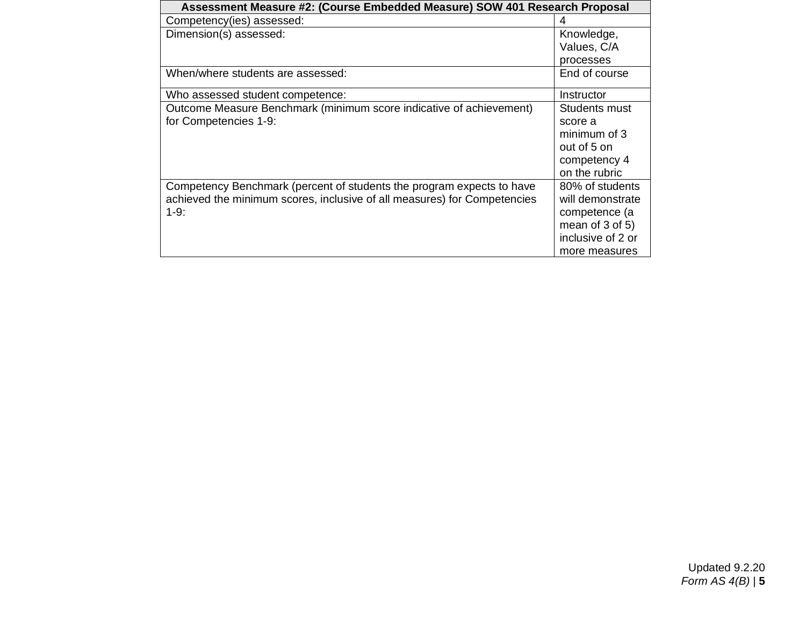| Assessment Measure #2: (Course Embedded Measure) SOW 401 Research Proposal |                      |  |
|----------------------------------------------------------------------------|----------------------|--|
| Competency(ies) assessed:                                                  |                      |  |
| Dimension(s) assessed:                                                     | Knowledge,           |  |
|                                                                            | Values, C/A          |  |
|                                                                            | processes            |  |
| When/where students are assessed:                                          | End of course        |  |
| Who assessed student competence:                                           | Instructor           |  |
| Outcome Measure Benchmark (minimum score indicative of achievement)        | Students must        |  |
| for Competencies 1-9:                                                      | score a              |  |
|                                                                            | minimum of 3         |  |
|                                                                            | out of 5 on          |  |
|                                                                            | competency 4         |  |
|                                                                            | on the rubric        |  |
| Competency Benchmark (percent of students the program expects to have      | 80% of students      |  |
| achieved the minimum scores, inclusive of all measures) for Competencies   | will demonstrate     |  |
| $1-9$ :                                                                    | competence (a        |  |
|                                                                            | mean of $3$ of $5$ ) |  |
|                                                                            | inclusive of 2 or    |  |
|                                                                            | more measures        |  |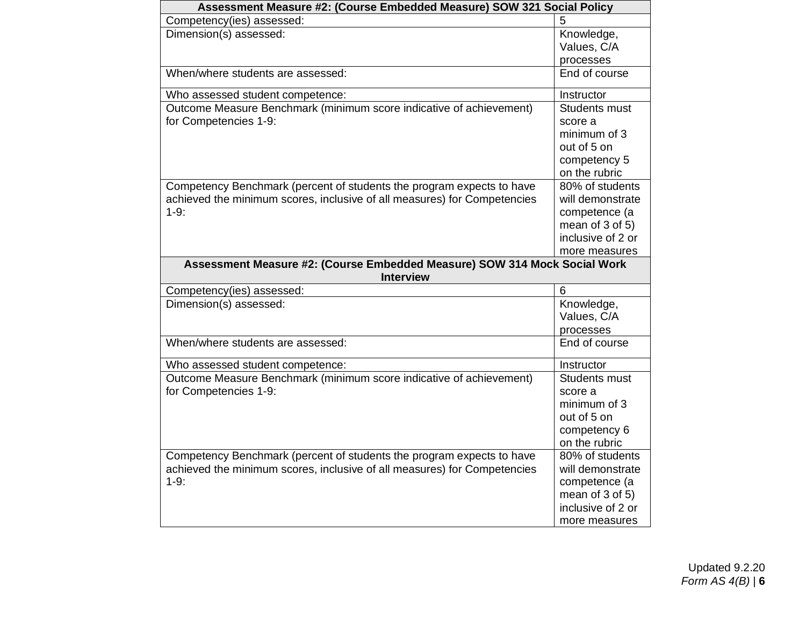| Assessment Measure #2: (Course Embedded Measure) SOW 321 Social Policy    |                            |
|---------------------------------------------------------------------------|----------------------------|
| Competency(ies) assessed:                                                 | 5                          |
| Dimension(s) assessed:                                                    | Knowledge,                 |
|                                                                           | Values, C/A                |
|                                                                           | processes                  |
| When/where students are assessed:                                         | End of course              |
| Who assessed student competence:                                          | Instructor                 |
| Outcome Measure Benchmark (minimum score indicative of achievement)       | Students must              |
| for Competencies 1-9:                                                     | score a                    |
|                                                                           | minimum of 3               |
|                                                                           | out of 5 on                |
|                                                                           | competency 5               |
|                                                                           | on the rubric              |
| Competency Benchmark (percent of students the program expects to have     | 80% of students            |
| achieved the minimum scores, inclusive of all measures) for Competencies  | will demonstrate           |
| $1-9:$                                                                    | competence (a              |
|                                                                           | mean of $3$ of $5$ )       |
|                                                                           | inclusive of 2 or          |
|                                                                           | more measures              |
| Assessment Measure #2: (Course Embedded Measure) SOW 314 Mock Social Work |                            |
| <b>Interview</b>                                                          | 6                          |
| Competency(ies) assessed:                                                 |                            |
| Dimension(s) assessed:                                                    | Knowledge,<br>Values, C/A  |
|                                                                           |                            |
| When/where students are assessed:                                         | processes<br>End of course |
|                                                                           |                            |
| Who assessed student competence:                                          | Instructor                 |
| Outcome Measure Benchmark (minimum score indicative of achievement)       | Students must              |
| for Competencies 1-9:                                                     | score a                    |
|                                                                           | minimum of 3               |
|                                                                           | out of 5 on                |
|                                                                           | competency 6               |
|                                                                           | on the rubric              |
| Competency Benchmark (percent of students the program expects to have     | 80% of students            |
| achieved the minimum scores, inclusive of all measures) for Competencies  | will demonstrate           |
| $1-9:$                                                                    | competence (a              |
|                                                                           | mean of 3 of 5)            |
|                                                                           | inclusive of 2 or          |
|                                                                           | more measures              |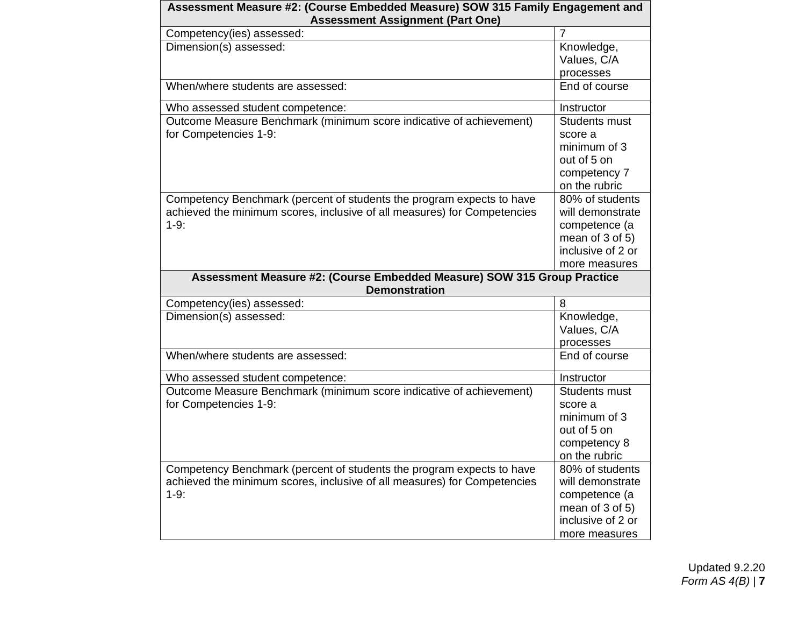| Assessment Measure #2: (Course Embedded Measure) SOW 315 Family Engagement and<br><b>Assessment Assignment (Part One)</b>                                   |                                                                                                                    |  |
|-------------------------------------------------------------------------------------------------------------------------------------------------------------|--------------------------------------------------------------------------------------------------------------------|--|
| Competency(ies) assessed:                                                                                                                                   | $\overline{7}$                                                                                                     |  |
| Dimension(s) assessed:                                                                                                                                      | Knowledge,<br>Values, C/A<br>processes                                                                             |  |
| When/where students are assessed:                                                                                                                           | End of course                                                                                                      |  |
| Who assessed student competence:                                                                                                                            | Instructor                                                                                                         |  |
| Outcome Measure Benchmark (minimum score indicative of achievement)<br>for Competencies 1-9:                                                                | Students must<br>score a<br>minimum of 3<br>out of 5 on<br>competency 7<br>on the rubric                           |  |
| Competency Benchmark (percent of students the program expects to have<br>achieved the minimum scores, inclusive of all measures) for Competencies<br>$1-9:$ | 80% of students<br>will demonstrate<br>competence (a<br>mean of $3$ of $5$ )<br>inclusive of 2 or<br>more measures |  |
| Assessment Measure #2: (Course Embedded Measure) SOW 315 Group Practice<br><b>Demonstration</b>                                                             |                                                                                                                    |  |
| Competency(ies) assessed:                                                                                                                                   | 8                                                                                                                  |  |
| Dimension(s) assessed:                                                                                                                                      | Knowledge,<br>Values, C/A<br>processes                                                                             |  |
| When/where students are assessed:                                                                                                                           | End of course                                                                                                      |  |
| Who assessed student competence:                                                                                                                            | Instructor                                                                                                         |  |
| Outcome Measure Benchmark (minimum score indicative of achievement)<br>for Competencies 1-9:                                                                | Students must<br>score a<br>minimum of 3<br>out of 5 on<br>competency 8<br>on the rubric                           |  |
| Competency Benchmark (percent of students the program expects to have<br>achieved the minimum scores, inclusive of all measures) for Competencies<br>$1-9:$ | 80% of students<br>will demonstrate<br>competence (a<br>mean of $3$ of $5$ )<br>inclusive of 2 or<br>more measures |  |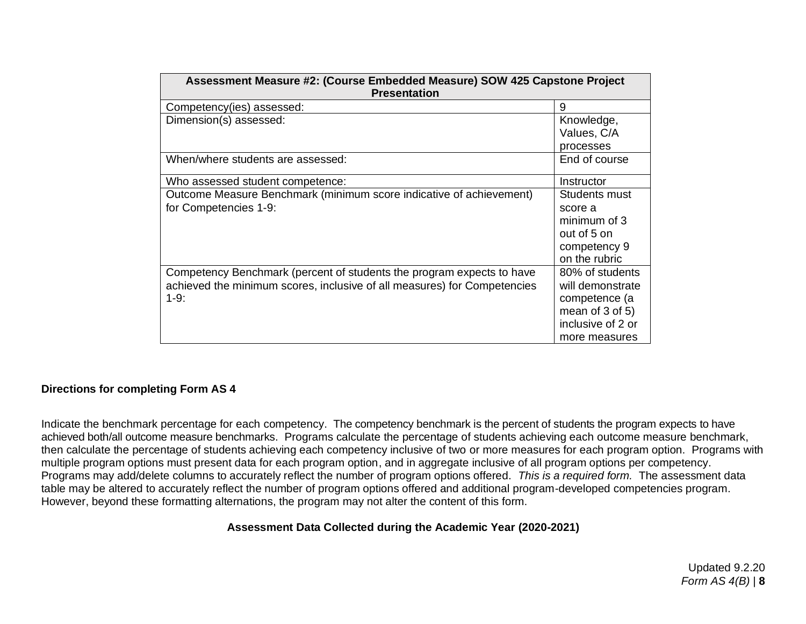| Assessment Measure #2: (Course Embedded Measure) SOW 425 Capstone Project<br><b>Presentation</b>                                                             |                                                                                                               |  |
|--------------------------------------------------------------------------------------------------------------------------------------------------------------|---------------------------------------------------------------------------------------------------------------|--|
| Competency(ies) assessed:                                                                                                                                    | 9                                                                                                             |  |
| Dimension(s) assessed:                                                                                                                                       | Knowledge,                                                                                                    |  |
|                                                                                                                                                              | Values, C/A                                                                                                   |  |
|                                                                                                                                                              | processes                                                                                                     |  |
| When/where students are assessed:                                                                                                                            | End of course                                                                                                 |  |
| Who assessed student competence:                                                                                                                             | Instructor                                                                                                    |  |
| Outcome Measure Benchmark (minimum score indicative of achievement)<br>for Competencies 1-9:                                                                 | Students must<br>score a<br>minimum of 3<br>out of 5 on<br>competency 9<br>on the rubric                      |  |
| Competency Benchmark (percent of students the program expects to have<br>achieved the minimum scores, inclusive of all measures) for Competencies<br>$1-9$ : | 80% of students<br>will demonstrate<br>competence (a<br>mean of 3 of 5)<br>inclusive of 2 or<br>more measures |  |

### **Directions for completing Form AS 4**

Indicate the benchmark percentage for each competency. The competency benchmark is the percent of students the program expects to have achieved both/all outcome measure benchmarks. Programs calculate the percentage of students achieving each outcome measure benchmark, then calculate the percentage of students achieving each competency inclusive of two or more measures for each program option. Programs with multiple program options must present data for each program option, and in aggregate inclusive of all program options per competency. Programs may add/delete columns to accurately reflect the number of program options offered. *This is a required form.* The assessment data table may be altered to accurately reflect the number of program options offered and additional program-developed competencies program. However, beyond these formatting alternations, the program may not alter the content of this form.

### **Assessment Data Collected during the Academic Year (2020-2021)**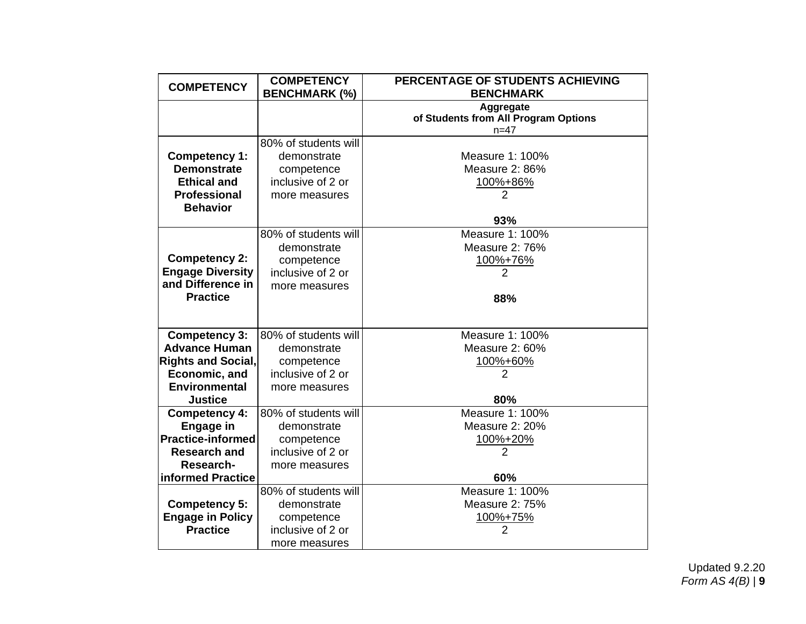| <b>COMPETENCY</b>         | <b>COMPETENCY</b><br><b>BENCHMARK (%)</b> | PERCENTAGE OF STUDENTS ACHIEVING<br><b>BENCHMARK</b> |
|---------------------------|-------------------------------------------|------------------------------------------------------|
|                           |                                           |                                                      |
|                           |                                           | Aggregate<br>of Students from All Program Options    |
|                           |                                           | $n = 47$                                             |
|                           | 80% of students will                      |                                                      |
| Competency 1:             | demonstrate                               | Measure 1: 100%                                      |
| <b>Demonstrate</b>        | competence                                | Measure 2: 86%                                       |
| <b>Ethical and</b>        | inclusive of 2 or                         | 100%+86%                                             |
| <b>Professional</b>       | more measures                             |                                                      |
| <b>Behavior</b>           |                                           |                                                      |
|                           |                                           | 93%                                                  |
|                           | 80% of students will                      | Measure 1: 100%                                      |
|                           | demonstrate                               | Measure 2: 76%                                       |
| <b>Competency 2:</b>      | competence                                | 100%+76%                                             |
| <b>Engage Diversity</b>   | inclusive of 2 or                         | $\overline{2}$                                       |
| and Difference in         | more measures                             |                                                      |
| <b>Practice</b>           |                                           | 88%                                                  |
|                           |                                           |                                                      |
| <b>Competency 3:</b>      | 80% of students will                      | Measure 1: 100%                                      |
| <b>Advance Human</b>      | demonstrate                               | Measure 2: 60%                                       |
| <b>Rights and Social,</b> | competence                                | 100%+60%                                             |
| Economic, and             | inclusive of 2 or                         | 2                                                    |
| <b>Environmental</b>      | more measures                             |                                                      |
| <b>Justice</b>            |                                           | 80%                                                  |
| <b>Competency 4:</b>      | 80% of students will                      | Measure 1: 100%                                      |
| <b>Engage in</b>          | demonstrate                               | Measure 2: 20%                                       |
| <b>Practice-informed</b>  | competence                                | 100%+20%                                             |
| <b>Research and</b>       | inclusive of 2 or                         | $\overline{2}$                                       |
| Research-                 | more measures                             |                                                      |
| informed Practice         |                                           | 60%                                                  |
|                           | 80% of students will                      | Measure 1: 100%                                      |
| <b>Competency 5:</b>      | demonstrate                               | Measure 2: 75%                                       |
| <b>Engage in Policy</b>   | competence                                | 100%+75%                                             |
| <b>Practice</b>           | inclusive of 2 or                         | $\overline{2}$                                       |
|                           | more measures                             |                                                      |